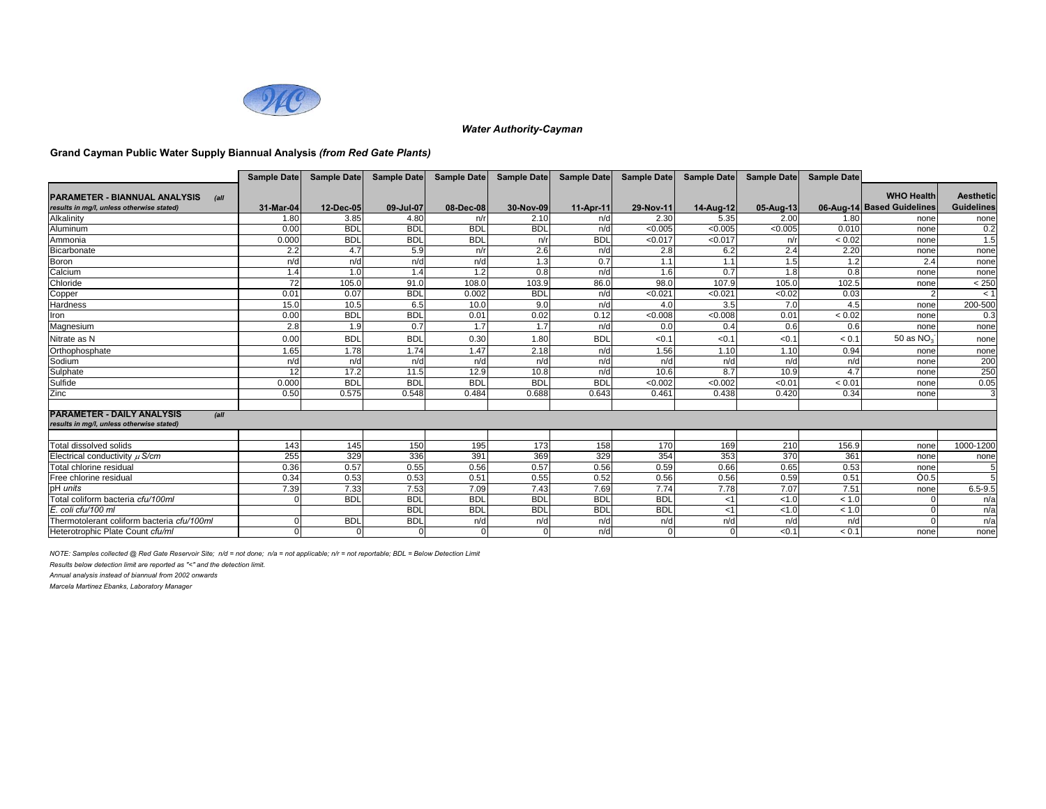

### **Grand Cayman Public Water Supply Biannual Analysis** *(from Red Gate Plants)*

|                                                                                          | Sample Date | <b>Sample Date</b> | <b>Sample Date</b> | <b>Sample Date</b> | Sample Date | Sample Date | <b>Sample Date</b> | <b>Sample Date</b> | <b>Sample Date</b> | <b>Sample Date</b> |                            |                   |
|------------------------------------------------------------------------------------------|-------------|--------------------|--------------------|--------------------|-------------|-------------|--------------------|--------------------|--------------------|--------------------|----------------------------|-------------------|
|                                                                                          |             |                    |                    |                    |             |             |                    |                    |                    |                    | <b>WHO Health</b>          | <b>Aesthetic</b>  |
| <b>PARAMETER - BIANNUAL ANALYSIS</b><br>(a)<br>results in mg/l, unless otherwise stated) | 31-Mar-04   | 12-Dec-05          | 09-Jul-07          | 08-Dec-08          | 30-Nov-09   | 11-Apr-11   | 29-Nov-11          | 14-Aug-12          | 05-Aug-13          |                    | 06-Aug-14 Based Guidelines | <b>Guidelines</b> |
| Alkalinity                                                                               | 1.80        |                    |                    |                    | 2.10        | n/d         |                    |                    |                    |                    |                            |                   |
|                                                                                          |             | 3.85<br><b>BDL</b> | 4.80<br><b>BDL</b> | n/r<br><b>BDL</b>  |             | n/d         | 2.30               | 5.35               | 2.00               | 1.80<br>0.010      | none                       | none              |
| Aluminum                                                                                 | 0.00        |                    |                    |                    | <b>BDL</b>  |             | < 0.005            | < 0.005            | < 0.005            |                    | none                       | 0.2               |
| Ammonia                                                                                  | 0.000       | <b>BDL</b>         | <b>BDL</b>         | <b>BDL</b>         | n/r         | <b>BDL</b>  | < 0.017            | < 0.017            | n/r                | < 0.02             | none                       | 1.5               |
| Bicarbonate                                                                              | 2.2         | 4.7                | 5.9                | n/r                | 2.6         | n/d         | 2.8                | 6.2                | 2.4                | 2.20               | none                       | none              |
| Boron                                                                                    | n/d         | n/d                | n/d                | n/d                | 1.3         | 0.7         | 1.1                | 1.1                | 1.5                | 1.2                | 2.4                        | none              |
| Calcium                                                                                  | 1.4         | 1.0                | 1.4                | 1.2                | 0.8         | n/d         | 1.6                | 0.7                | 1.8                | 0.8                | none                       | none              |
| Chloride                                                                                 | 72          | 105.0              | 91.0               | 108.0              | 103.9       | 86.0        | 98.0               | 107.9              | 105.0              | 102.5              | none                       | $< 250$           |
| Copper                                                                                   | 0.01        | 0.07               | <b>BDL</b>         | 0.002              | <b>BDL</b>  | n/d         | < 0.021            | < 0.021            | 50.02              | 0.03               |                            | < 1               |
| Hardness                                                                                 | 15.0        | 10.5               | 6.5                | 10.0               | 9.0         | n/d         | 4.0                | 3.5                | 7.0                | 4.5                | none                       | 200-500           |
| Iron                                                                                     | 0.00        | <b>BDL</b>         | <b>BDL</b>         | 0.01               | 0.02        | 0.12        | < 0.008            | < 0.008            | 0.01               | < 0.02             | none                       | 0.3               |
| Magnesium                                                                                | 2.8         | 1.9                | 0.7                | 1.7                | 1.7         | n/d         | 0.0                | 0.4                | 0.6                | 0.6                | none                       | none              |
| Nitrate as N                                                                             | 0.00        | <b>BDL</b>         | <b>BDL</b>         | 0.30               | 1.80        | <b>BDL</b>  | < 0.1              | < 0.1              | < 0.1              | < 0.1              | 50 as NO <sub>3</sub>      | none              |
| Orthophosphate                                                                           | 1.65        | 1.78               | 1.74               | 1.47               | 2.18        | n/d         | 1.56               | 1.10               | 1.10               | 0.94               | none                       | none              |
| Sodium                                                                                   | n/d         | n/d                | n/d                | n/d                | n/d         | n/d         | n/d                | n/d                | n/d                | n/d                | none                       | 200               |
| Sulphate                                                                                 | 12          | 17.2               | 11.5               | 12.9               | 10.8        | n/d         | 10.6               | 8.7                | 10.9               | 4.7                | none                       | 250               |
| Sulfide                                                                                  | 0.000       | <b>BDL</b>         | <b>BDL</b>         | <b>BDL</b>         | <b>BDL</b>  | <b>BDL</b>  | < 0.002            | < 0.002            | < 0.01             | < 0.01             | none                       | 0.05              |
| Zinc                                                                                     | 0.50        | 0.575              | 0.548              | 0.484              | 0.688       | 0.643       | 0.461              | 0.438              | 0.420              | 0.34               | none                       | 3                 |
| <b>PARAMETER - DAILY ANALYSIS</b><br> all                                                |             |                    |                    |                    |             |             |                    |                    |                    |                    |                            |                   |
| results in mg/l, unless otherwise stated)                                                |             |                    |                    |                    |             |             |                    |                    |                    |                    |                            |                   |
|                                                                                          |             |                    |                    |                    |             |             |                    |                    |                    |                    |                            |                   |
| Total dissolved solids                                                                   | 143         | 145                | 150                | 195                | 173         | 158         | 170                | 169                | 210                | 156.9              | none                       | 1000-1200         |
| Electrical conductivity $\mu$ S/cm                                                       | 255         | 329                | 336                | 391                | 369         | 329         | 354                | 353                | 370                | 361                | none                       | none              |
| Total chlorine residual                                                                  | 0.36        | 0.57               | 0.55               | 0.56               | 0.57        | 0.56        | 0.59               | 0.66               | 0.65               | 0.53               | none                       |                   |
| Free chlorine residual                                                                   | 0.34        | 0.53               | 0.53               | 0.51               | 0.55        | 0.52        | 0.56               | 0.56               | 0.59               | 0.51               | 0.5                        | 5                 |
| pH units                                                                                 | 7.39        | 7.33               | 7.53               | 7.09               | 7.43        | 7.69        | 7.74               | 7.78               | 7.07               | 7.51               | none                       | $6.5 - 9.5$       |
| Total coliform bacteria cfu/100ml                                                        |             | <b>BDL</b>         | <b>BDL</b>         | <b>BDL</b>         | <b>BDL</b>  | <b>BDL</b>  | <b>BDL</b>         | $<$ 1              | < 1.0              | < 1.0              |                            | n/a               |
| E. coli cfu/100 ml                                                                       |             |                    | <b>BDL</b>         | <b>BDL</b>         | <b>BDL</b>  | <b>BDL</b>  | <b>BDL</b>         | $<$ 1              | < 1.0              | < 1.0              |                            | n/a               |
| Thermotolerant coliform bacteria cfu/100ml                                               |             | <b>BDL</b>         | <b>BDL</b>         | n/d                | n/d         | n/d         | n/d                | n/d                | n/d                | n/d                |                            | n/a               |
| Heterotrophic Plate Count cfu/ml                                                         |             | $\Omega$           |                    | $\Omega$           | $\Omega$    | n/d         |                    |                    | < 0.1              | < 0.1              | none                       | none              |

*NOTE: Samples collected @ Red Gate Reservoir Site; n/d = not done; n/a = not applicable; n/r = not reportable; BDL = Below Detection Limit*

*Results below detection limit are reported as "<" and the detection limit.*

*Annual analysis instead of biannual from 2002 onwards*

*Marcela Martinez Ebanks, Laboratory Manager*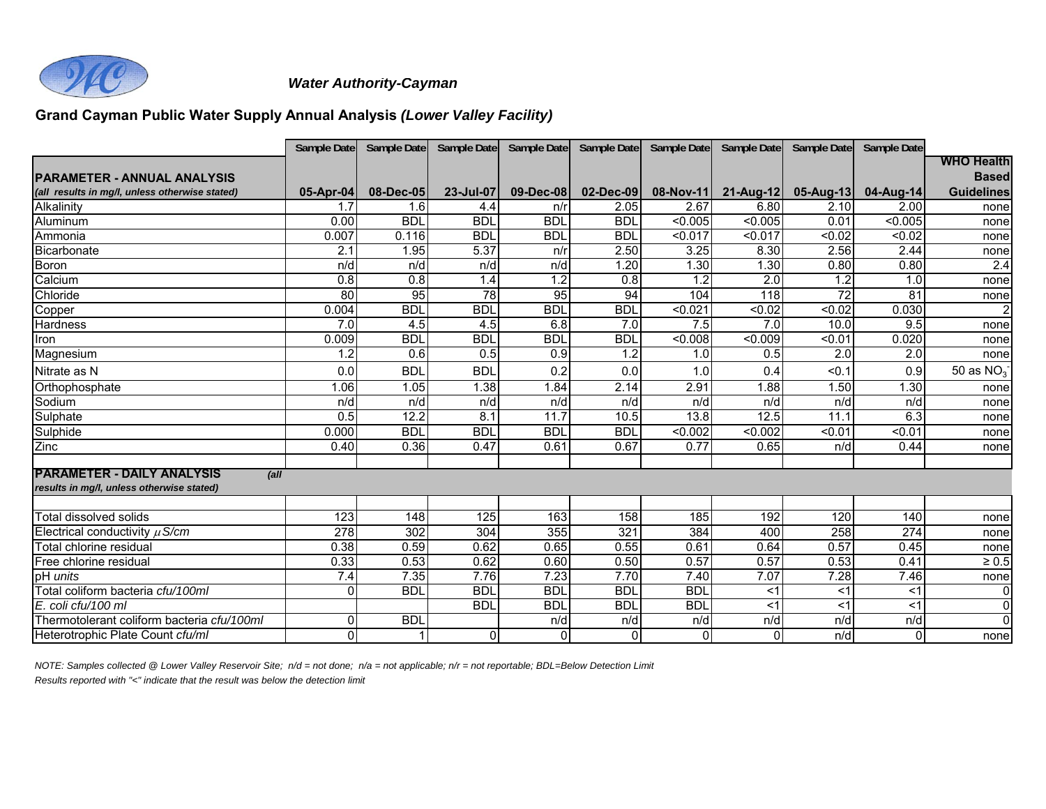

# **Grand Cayman Public Water Supply Annual Analysis** *(Lower Valley Facility)*

|                                                | Sample Date | Sample Date | Sample Date      | Sample Date  | Sample Date  | Sample Date | Sample Date  | Sample Date | Sample Date |                   |
|------------------------------------------------|-------------|-------------|------------------|--------------|--------------|-------------|--------------|-------------|-------------|-------------------|
|                                                |             |             |                  |              |              |             |              |             |             | <b>WHO Health</b> |
| <b>PARAMETER - ANNUAL ANALYSIS</b>             |             |             |                  |              |              |             |              |             |             | <b>Based</b>      |
| (all results in mg/l, unless otherwise stated) | 05-Apr-04   | 08-Dec-05   | 23-Jul-07        | 09-Dec-08    | $02$ -Dec-09 | 08-Nov-11   | $21$ -Aug-12 | $05-Aug-13$ | 04-Aug-14   | <b>Guidelines</b> |
| Alkalinity                                     | 1.7         | 1.6         | 4.4              | n/r          | 2.05         | 2.67        | 6.80         | 2.10        | 2.00        | none              |
| Aluminum                                       | 0.00        | <b>BDL</b>  | <b>BDL</b>       | <b>BDL</b>   | <b>BDI</b>   | < 0.005     | < 0.005      | 0.01        | < 0.005     | nonel             |
| Ammonia                                        | 0.007       | 0.116       | <b>BDL</b>       | <b>BDL</b>   | <b>BDL</b>   | < 0.017     | < 0.017      | < 0.02      | < 0.02      | none              |
| Bicarbonate                                    | 2.1         | 1.95        | 5.37             | n/r          | 2.50         | 3.25        | 8.30         | 2.56        | 2.44        | none              |
| Boron                                          | n/d         | n/d         | n/d              | n/d          | 1.20         | 1.30        | 1.30         | 0.80        | 0.80        | 2.4               |
| Calcium                                        | 0.8         | 0.8         | 1.4              | 1.2          | 0.8          | 1.2         | 2.0          | 1.2         | 1.0         | none              |
| Chloride                                       | 80          | 95          | 78               | 95           | 94           | 104         | 118          | 72          | 81          | none              |
| Copper                                         | 0.004       | <b>BDL</b>  | <b>BDL</b>       | <b>BDL</b>   | <b>BDL</b>   | < 0.021     | < 0.02       | < 0.02      | 0.030       | 2 <sup>1</sup>    |
| <b>Hardness</b>                                | 7.0         | 4.5         | 4.5              | 6.8          | 7.0          | 7.5         | 7.0          | 10.0        | 9.5         | none              |
| Iron                                           | 0.009       | <b>BDL</b>  | <b>BDL</b>       | <b>BDL</b>   | BDL          | < 0.008     | < 0.009      | < 0.01      | 0.020       | none              |
| Magnesium                                      | 1.2         | 0.6         | 0.5              | 0.9          | 1.2          | 1.0         | 0.5          | 2.0         | 2.0         | none              |
| Nitrate as N                                   | 0.0         | <b>BDL</b>  | <b>BDL</b>       | 0.2          | 0.0          | 1.0         | 0.4          | < 0.1       | 0.9         | 50 as $NO_3^-$    |
| Orthophosphate                                 | 1.06        | 1.05        | 1.38             | .84          | 2.14         | 2.91        | 1.88         | 1.50        | 1.30        | none              |
| Sodium                                         | n/d         | n/d         | n/d              | n/d          | n/d          | n/d         | n/d          | n/d         | n/d         | none              |
| Sulphate                                       | 0.5         | 12.2        | $\overline{8.1}$ | 11.7         | 10.5         | 13.8        | 12.5         | 11.1        | 6.3         | none              |
| Sulphide                                       | 0.000       | <b>BDL</b>  | <b>BDL</b>       | <b>BDL</b>   | <b>BDL</b>   | < 0.002     | < 0.002      | < 0.01      | < 0.01      | nonel             |
| Zinc                                           | 0.40        | 0.36        | 0.47             | 0.61         | 0.67         | 0.77        | 0.65         | n/d         | 0.44        | none              |
| <b>PARAMETER - DAILY ANALYSIS</b><br>(all)     |             |             |                  |              |              |             |              |             |             |                   |
| results in mg/l, unless otherwise stated)      |             |             |                  |              |              |             |              |             |             |                   |
|                                                |             |             |                  |              |              |             |              |             |             |                   |
| <b>Total dissolved solids</b>                  | 123<br>278  | 148<br>302  | 125<br>304       | 163<br>355   | 158<br>321   | 185<br>384  | 192<br>400   | 120<br>258  | 140<br>274  | none              |
| Electrical conductivity $\mu$ S/cm             |             |             |                  |              |              |             |              |             |             | none              |
| Total chlorine residual                        | 0.38        | 0.59        | 0.62<br>0.62     | 0.65<br>0.60 | 0.55         | 0.61        | 0.64<br>0.57 | 0.57        | 0.45        | nonel             |
| Free chlorine residual                         | 0.33        | 0.53        |                  |              | 0.50         | 0.57        |              | 0.53        | 0.41        | $\geq 0.5$        |
| pH units                                       | 7.4         | 7.35        | 7.76             | 7.23         | 7.70         | 7.40        | 7.07         | 7.28        | 7.46        | none              |
| Total coliform bacteria cfu/100ml              | $\Omega$    | <b>BDL</b>  | <b>BDL</b>       | <b>BDL</b>   | <b>BDL</b>   | <b>BDL</b>  | $<$ 1        | $<$ 1       | $<$ 1       | $\overline{0}$    |
| E. coli cfu/100 ml                             |             |             | <b>BDL</b>       | <b>BDL</b>   | <b>BDI</b>   | <b>BDL</b>  | <1           | $<$ 1       | $<$ 1       | $\overline{0}$    |
| Thermotolerant coliform bacteria cfu/100ml     | 0           | <b>BDL</b>  |                  | n/d          | n/d          | n/d         | n/d          | n/d         | n/d         | $\overline{0}$    |
| Heterotrophic Plate Count cfu/ml               | $\Omega$    |             | $\Omega$         | $\mathbf 0$  | 0l           | $\Omega$    | $\Omega$     | n/d         | $\Omega$    | none              |

*NOTE: Samples collected @ Lower Valley Reservoir Site; n/d = not done; n/a = not applicable; n/r = not reportable; BDL=Below Detection Limit*

*Results reported with "<" indicate that the result was below the detection limit*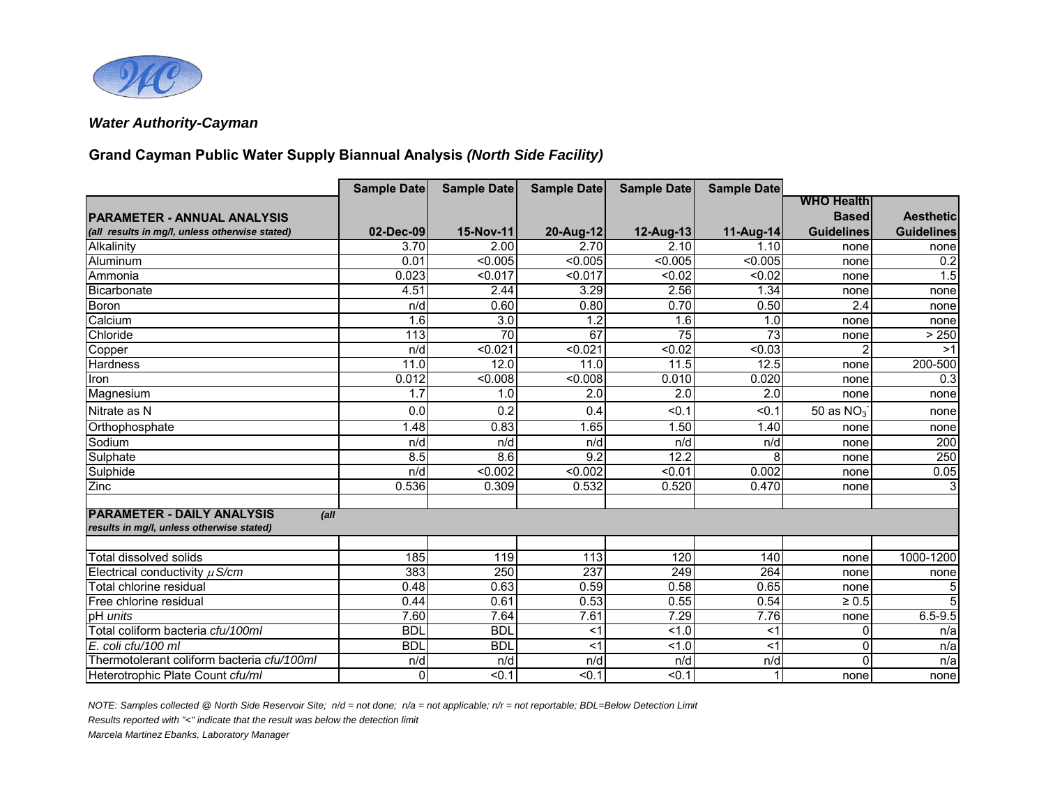

# **Grand Cayman Public Water Supply Biannual Analysis** *(North Side Facility)*

|                                                | <b>Sample Date</b> | <b>Sample Date</b> | <b>Sample Date</b> | <b>Sample Date</b> | <b>Sample Date</b> |                   |                   |
|------------------------------------------------|--------------------|--------------------|--------------------|--------------------|--------------------|-------------------|-------------------|
|                                                |                    |                    |                    |                    |                    | <b>WHO Health</b> |                   |
| <b>PARAMETER - ANNUAL ANALYSIS</b>             |                    |                    |                    |                    |                    | <b>Based</b>      | <b>Aesthetic</b>  |
| (all results in mg/l, unless otherwise stated) | 02-Dec-09          | 15-Nov-11          | 20-Aug-12          | 12-Aug-13          | 11-Aug-14          | <b>Guidelines</b> | <b>Guidelines</b> |
| Alkalinity                                     | 3.70               | 2.00               | 2.70               | 2.10               | 1.10               | none              | none              |
| Aluminum                                       | 0.01               | < 0.005            | < 0.005            | < 0.005            | < 0.005            | none              | 0.2               |
| Ammonia                                        | 0.023              | < 0.017            | < 0.017            | < 0.02             | < 0.02             | none              | 1.5               |
| Bicarbonate                                    | 4.51               | 2.44               | 3.29               | 2.56               | 1.34               | none              | none              |
| <b>Boron</b>                                   | n/d                | 0.60               | 0.80               | 0.70               | 0.50               | 2.4               | none              |
| Calcium                                        | 1.6                | 3.0                | 1.2                | 1.6                | 1.0                | none              | none              |
| Chloride                                       | 113                | 70                 | 67                 | 75                 | 73                 | none              | > 250             |
| Copper                                         | n/d                | < 0.021            | < 0.021            | < 0.02             | < 0.03             | 2                 | >1                |
| <b>Hardness</b>                                | 11.0               | 12.0               | 11.0               | 11.5               | 12.5               | none              | 200-500           |
| Iron                                           | 0.012              | 50.008             | < 0.008            | 0.010              | 0.020              | none              | 0.3               |
| Magnesium                                      | 1.7                | 1.0                | 2.0                | 2.0                | 2.0                | none              | none              |
| Nitrate as N                                   | 0.0                | 0.2                | 0.4                | < 0.1              | < 0.1              | 50 as $NO3$       | none              |
| Orthophosphate                                 | 1.48               | 0.83               | 1.65               | 1.50               | 1.40               | none              | none              |
| Sodium                                         | n/d                | n/d                | n/d                | n/d                | n/d                | none              | 200               |
| Sulphate                                       | 8.5                | 8.6                | 9.2                | 12.2               | 8                  | none              | 250               |
| Sulphide                                       | n/d                | $\overline{0.002}$ | < 0.002            | < 0.01             | 0.002              | none              | 0.05              |
| Zinc                                           | 0.536              | 0.309              | 0.532              | 0.520              | 0.470              | none              | $\overline{3}$    |
| <b>PARAMETER - DAILY ANALYSIS</b><br>(all)     |                    |                    |                    |                    |                    |                   |                   |
| results in mg/l, unless otherwise stated)      |                    |                    |                    |                    |                    |                   |                   |
|                                                |                    |                    |                    |                    |                    |                   |                   |
| Total dissolved solids                         | 185                | 119                | 113                | 120                | 140                | none              | 1000-1200         |
| Electrical conductivity $\mu$ S/cm             | 383                | 250                | 237                | 249                | 264                | none              | none              |
| Total chlorine residual                        | 0.48               | 0.63               | 0.59               | 0.58               | 0.65               | none              | 5                 |
| Free chlorine residual                         | 0.44               | 0.61               | 0.53               | 0.55               | 0.54               | $\geq 0.5$        | 5                 |
| pH units                                       | 7.60               | 7.64               | 7.61               | 7.29               | 7.76               | none              | $6.5 - 9.5$       |
| Total coliform bacteria cfu/100ml              | <b>BDL</b>         | <b>BDI</b>         | $<$ 1              | 1.0                | $<$ 1              | 0                 | n/a               |
| E. coli cfu/100 ml                             | <b>BDL</b>         | <b>BDL</b>         | $<$ 1              | 1.0                | $<$ 1              | 0                 | n/a               |
| Thermotolerant coliform bacteria cfu/100ml     | n/d                | n/d                | n/d                | n/d                | n/d                | $\Omega$          | n/a               |
| Heterotrophic Plate Count cfu/ml               | $\Omega$           | $\overline{50.1}$  | < 0.1              | $\overline{50.1}$  |                    | none              | none              |

*NOTE: Samples collected @ North Side Reservoir Site; n/d = not done; n/a = not applicable; n/r = not reportable; BDL=Below Detection Limit*

*Results reported with "<" indicate that the result was below the detection limit*

*Marcela Martinez Ebanks, Laboratory Manager*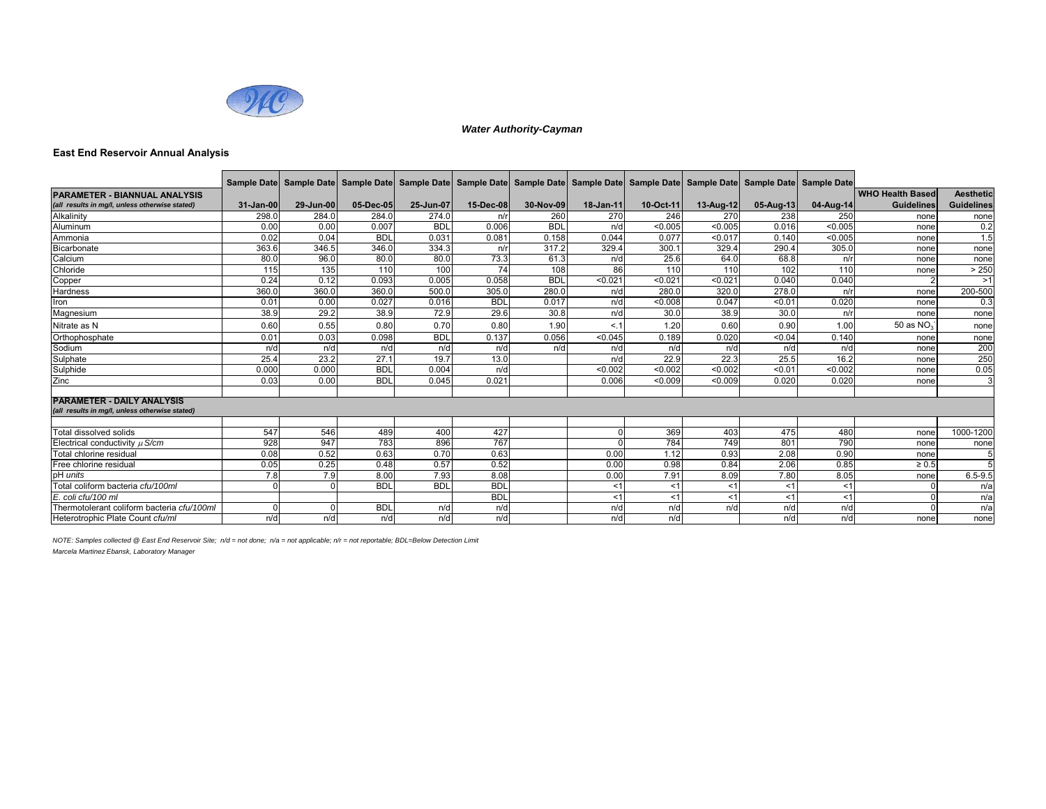

### **East End Reservoir Annual Analysis**

|                                                                                     |           | Sample Date  Sample Date  Sample Date  Sample Date  Sample Date  Sample Date  Sample Date  Sample Date  Sample Date  Sample Date  Sample Date  Sample Date  Sample Date |            |            |            |            |           |           |           |             |           |                         |                   |
|-------------------------------------------------------------------------------------|-----------|-------------------------------------------------------------------------------------------------------------------------------------------------------------------------|------------|------------|------------|------------|-----------|-----------|-----------|-------------|-----------|-------------------------|-------------------|
| <b>PARAMETER - BIANNUAL ANALYSIS</b>                                                |           |                                                                                                                                                                         |            |            |            |            |           |           |           |             |           | <b>WHO Health Based</b> | <b>Aesthetic</b>  |
| (all results in mg/l, unless otherwise stated)                                      | 31-Jan-00 | 29-Jun-00                                                                                                                                                               | 05-Dec-05  | 25-Jun-07  | 15-Dec-08  | 30-Nov-09  | 18-Jan-11 | 10-Oct-11 | 13-Aug-12 | $05-Auq-13$ | 04-Aug-14 | <b>Guidelines</b>       | <b>Guidelines</b> |
| Alkalinity                                                                          | 298.0     | 284.0                                                                                                                                                                   | 284.0      | 274.0      | n/r        | 260        | 270       | 246       | 270       | 238         | 250       | none                    | none              |
| Aluminum                                                                            | 0.00      | 0.00                                                                                                                                                                    | 0.007      | <b>BDL</b> | 0.006      | <b>BDL</b> | n/d       | < 0.005   | < 0.005   | 0.016       | < 0.005   | none                    | 0.2               |
| Ammonia                                                                             | 0.02      | 0.04                                                                                                                                                                    | <b>BDL</b> | 0.031      | 0.081      | 0.158      | 0.044     | 0.077     | < 0.017   | 0.140       | < 0.005   | none                    | 1.5               |
| Bicarbonate                                                                         | 363.6     | 346.5                                                                                                                                                                   | 346.0      | 334.3      | n/r        | 317.2      | 329.4     | 300.1     | 329.4     | 290.4       | 305.0     | none                    | none              |
| Calcium                                                                             | 80.0      | 96.0                                                                                                                                                                    | 80.0       | 80.0       | 73.3       | 61.3       | n/d       | 25.6      | 64.0      | 68.8        | n/r       | none                    | none              |
| Chloride                                                                            | 115       | 135                                                                                                                                                                     | 110        | 100        | 74         | 108        | 86        | 110       | 110       | 102         | 110       | none                    | > 250             |
| Copper                                                                              | 0.24      | 0.12                                                                                                                                                                    | 0.093      | 0.005      | 0.058      | <b>BDL</b> | < 0.021   | < 0.021   | < 0.021   | 0.040       | 0.040     |                         | >1                |
| Hardness                                                                            | 360.0     | 360.0                                                                                                                                                                   | 360.0      | 500.0      | 305.0      | 280.0      | n/d       | 280.0     | 320.0     | 278.0       | n/r       | none                    | 200-500           |
| Iron                                                                                | 0.01      | 0.00                                                                                                                                                                    | 0.027      | 0.016      | <b>BDL</b> | 0.017      | n/d       | < 0.008   | 0.047     | < 0.01      | 0.020     | none                    | 0.3               |
| Magnesium                                                                           | 38.9      | 29.2                                                                                                                                                                    | 38.9       | 72.9       | 29.6       | 30.8       | n/d       | 30.0      | 38.9      | 30.0        | n/r       | none                    | none              |
| Nitrate as N                                                                        | 0.60      | 0.55                                                                                                                                                                    | 0.80       | 0.70       | 0.80       | 1.90       | < 1       | 1.20      | 0.60      | 0.90        | 1.00      | 50 as $NO3$             | none              |
| Orthophosphate                                                                      | 0.01      | 0.03                                                                                                                                                                    | 0.098      | <b>BDL</b> | 0.137      | 0.056      | < 0.045   | 0.189     | 0.020     | < 0.04      | 0.140     | none                    | none              |
| Sodium                                                                              | n/d       | n/d                                                                                                                                                                     | n/d        | n/d        | n/d        | n/d        | n/d       | n/d       | n/d       | n/d         | n/d       | none                    | 200               |
| Sulphate                                                                            | 25.4      | 23.2                                                                                                                                                                    | 27.7       | 19.7       | 13.0       |            | n/d       | 22.9      | 22.3      | 25.5        | 16.2      | none                    | 250               |
| Sulphide                                                                            | 0.000     | 0.000                                                                                                                                                                   | <b>BDL</b> | 0.004      | n/d        |            | < 0.002   | < 0.002   | < 0.002   | < 0.01      | < 0.002   | none                    | 0.05              |
| Zinc                                                                                | 0.03      | 0.00                                                                                                                                                                    | <b>BDL</b> | 0.045      | 0.021      |            | 0.006     | < 0.009   | < 0.009   | 0.020       | 0.020     | none                    | 3                 |
|                                                                                     |           |                                                                                                                                                                         |            |            |            |            |           |           |           |             |           |                         |                   |
| <b>PARAMETER - DAILY ANALYSIS</b><br>(all results in mg/l, unless otherwise stated) |           |                                                                                                                                                                         |            |            |            |            |           |           |           |             |           |                         |                   |
|                                                                                     |           |                                                                                                                                                                         |            |            |            |            |           |           |           |             |           |                         |                   |
| Total dissolved solids                                                              | 547       | 546                                                                                                                                                                     | 489        | 400        | 427        |            |           | 369       | 403       | 475         | 480       | none                    | 1000-1200         |
| Electrical conductivity $\mu$ S/cm                                                  | 928       | 947                                                                                                                                                                     | 783        | 896        | 767        |            |           | 784       | 749       | 801         | 790       | none                    | none              |
| Total chlorine residual                                                             | 0.08      | 0.52                                                                                                                                                                    | 0.63       | 0.70       | 0.63       |            | 0.00      | 1.12      | 0.93      | 2.08        | 0.90      | none                    |                   |
| Free chlorine residual                                                              | 0.05      | 0.25                                                                                                                                                                    | 0.48       | 0.57       | 0.52       |            | 0.00      | 0.98      | 0.84      | 2.06        | 0.85      | $\geq 0.5$              | 5 <sup>1</sup>    |
| pH <i>units</i>                                                                     | 7.8       | 7.9                                                                                                                                                                     | 8.00       | 7.93       | 8.08       |            | 0.00      | 7.91      | 8.09      | 7.80        | 8.05      | none                    | $6.5 - 9.5$       |
| Total coliform bacteria cfu/100ml                                                   |           |                                                                                                                                                                         | <b>BDI</b> | <b>BDL</b> | <b>BDL</b> |            | $<$ 1     | < 1       | < 1       | < 1         | <1        |                         | n/a               |
| E. coli cfu/100 ml                                                                  |           |                                                                                                                                                                         |            |            | <b>BDI</b> |            | < 1       | < 1       | < 1       | <1          | < 1       |                         | n/a               |
| Thermotolerant coliform bacteria cfu/100ml                                          |           |                                                                                                                                                                         | <b>BDI</b> | n/d        | n/d        |            | n/d       | n/d       | n/d       | n/d         | n/d       |                         | n/a               |
| Heterotrophic Plate Count cfu/ml                                                    | n/d       | n/d                                                                                                                                                                     | n/d        | n/d        | n/d        |            | n/d       | n/d       |           | n/d         | n/d       | none                    | none              |

*NOTE: Samples collected @ East End Reservoir Site; n/d = not done; n/a = not applicable; n/r = not reportable; BDL=Below Detection Limit Marcela Martinez Ebansk, Laboratory Manager*